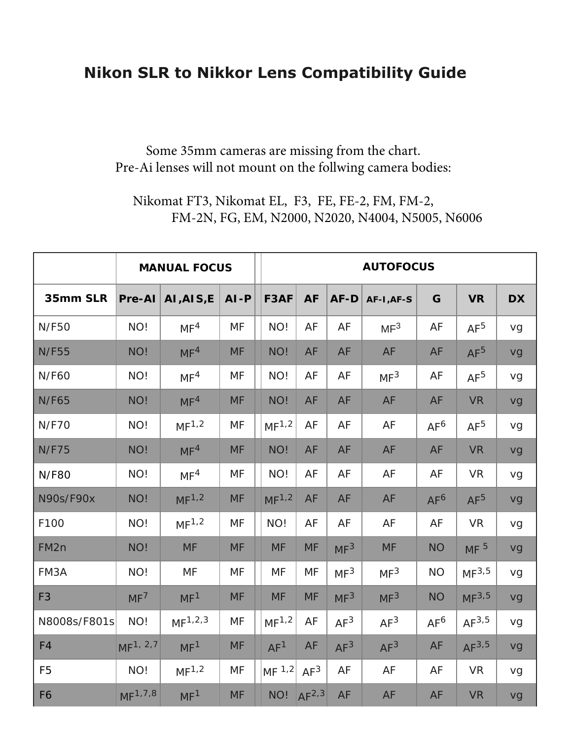# **Nikon SLR to Nikkor Lens Compatibility Guide**

### Some 35mm cameras are missing from the chart. Pre-Ai lenses will not mount on the follwing camera bodies:

### Nikomat FT3, Nikomat EL, F3, FE, FE-2, FM, FM-2, FM-2N, FG, EM, N2000, N2020, N4004, N5005, N6006

|                  | <b>MANUAL FOCUS</b>   |                     |           |  | <b>AUTOFOCUS</b>    |                 |                 |                 |                 |                   |           |  |  |
|------------------|-----------------------|---------------------|-----------|--|---------------------|-----------------|-----------------|-----------------|-----------------|-------------------|-----------|--|--|
| 35mm SLR         | $Pre-AI$              | AI, AIS, E          | $AI - P$  |  | F3AF                | <b>AF</b>       | AF-D            | AF-I, AF-S      | G               | <b>VR</b>         | <b>DX</b> |  |  |
| <b>N/F50</b>     | NO!                   | MF <sup>4</sup>     | MF        |  | NO!                 | AF              | AF              | MF <sup>3</sup> | AF              | AF <sup>5</sup>   | vg        |  |  |
| <b>N/F55</b>     | NO!                   | MF <sup>4</sup>     | <b>MF</b> |  | NO!                 | AF              | AF              | AF              | AF              | AF <sup>5</sup>   | vg        |  |  |
| <b>N/F60</b>     | NO!                   | MF <sup>4</sup>     | MF        |  | NO!                 | AF              | AF              | MF <sup>3</sup> | AF              | AF <sup>5</sup>   | vg        |  |  |
| <b>N/F65</b>     | NO!                   | MF <sup>4</sup>     | <b>MF</b> |  | NO!                 | AF              | AF              | AF              | AF              | <b>VR</b>         | vg        |  |  |
| <b>N/F70</b>     | NO!                   | MF <sup>1,2</sup>   | <b>MF</b> |  | MF <sup>1,2</sup>   | AF              | AF              | AF              | AF <sup>6</sup> | AF <sup>5</sup>   | vg        |  |  |
| <b>N/F75</b>     | NO!                   | MF <sup>4</sup>     | <b>MF</b> |  | NO!                 | AF              | AF              | AF              | AF              | <b>VR</b>         | vg        |  |  |
| <b>N/F80</b>     | NO!                   | MF <sup>4</sup>     | MF        |  | NO!                 | AF              | AF              | AF              | AF              | <b>VR</b>         | vg        |  |  |
| <b>N90s/F90x</b> | NO!                   | MF <sup>1,2</sup>   | <b>MF</b> |  | MF <sup>1,2</sup>   | AF              | AF              | AF              | AF <sup>6</sup> | AF <sup>5</sup>   | vg        |  |  |
| F100             | NO!                   | MF <sup>1,2</sup>   | <b>MF</b> |  | NO!                 | AF              | AF              | AF              | AF              | <b>VR</b>         | vg        |  |  |
| FM <sub>2n</sub> | NO!                   | <b>MF</b>           | <b>MF</b> |  | <b>MF</b>           | <b>MF</b>       | MF <sup>3</sup> | <b>MF</b>       | <b>NO</b>       | MF <sup>5</sup>   | vg        |  |  |
| FM3A             | NO!                   | <b>MF</b>           | <b>MF</b> |  | <b>MF</b>           | <b>MF</b>       | MF <sup>3</sup> | MF <sup>3</sup> | <b>NO</b>       | MF <sup>3,5</sup> | vg        |  |  |
| F <sub>3</sub>   | MF <sup>7</sup>       | MF <sup>1</sup>     | <b>MF</b> |  | <b>MF</b>           | <b>MF</b>       | MF <sup>3</sup> | MF <sup>3</sup> | <b>NO</b>       | MF <sup>3,5</sup> | vg        |  |  |
| N8008s/F801s     | NO!                   | MF <sup>1,2,3</sup> | <b>MF</b> |  | MF <sup>1,2</sup>   | AF              | AF <sup>3</sup> | AF <sup>3</sup> | AF <sup>6</sup> | $AF^{3,5}$        | vg        |  |  |
| F <sub>4</sub>   | MF <sup>1</sup> , 2,7 | MF <sup>1</sup>     | <b>MF</b> |  | AF <sup>1</sup>     | AF              | AF <sup>3</sup> | AF <sup>3</sup> | AF              | AF <sup>3,5</sup> | vg        |  |  |
| F <sub>5</sub>   | NO!                   | MF <sup>1,2</sup>   | MF        |  | $MF$ <sup>1,2</sup> | AF <sup>3</sup> | AF              | AF              | AF              | <b>VR</b>         | vg        |  |  |
| F <sub>6</sub>   | MF <sup>1,7,8</sup>   | MF <sup>1</sup>     | <b>MF</b> |  |                     | NO! $AF^{2,3}$  | AF              | AF              | AF              | <b>VR</b>         | vg        |  |  |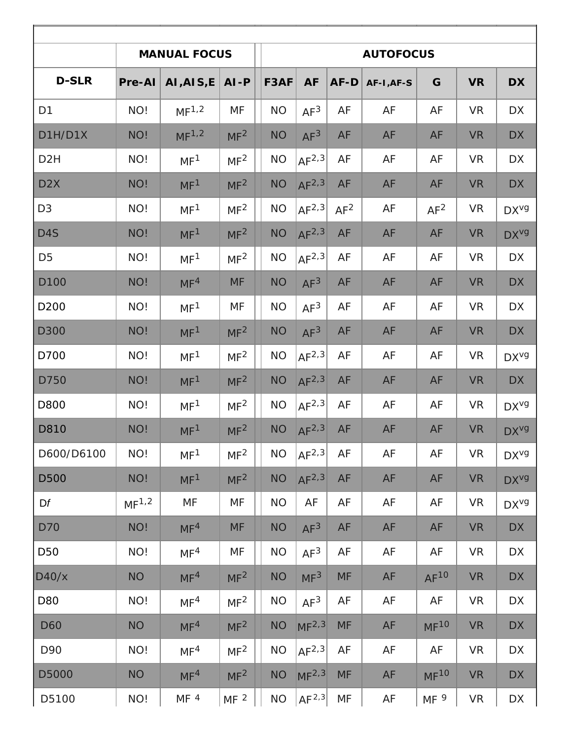|                  | <b>MANUAL FOCUS</b> | <b>AUTOFOCUS</b>  |                 |           |                   |           |            |                  |           |                   |
|------------------|---------------------|-------------------|-----------------|-----------|-------------------|-----------|------------|------------------|-----------|-------------------|
| <b>D-SLR</b>     | Pre-Al              | AI, AIS, E        | $AI-P$          | F3AF      | <b>AF</b>         | AF-D      | AF-I, AF-S | G                | <b>VR</b> | <b>DX</b>         |
| D <sub>1</sub>   | NO!                 | MF <sup>1,2</sup> | MF              | <b>NO</b> | AF <sup>3</sup>   | AF        | AF         | AF               | <b>VR</b> | <b>DX</b>         |
| D1H/D1X          | NO!                 | MF <sup>1,2</sup> | MF <sup>2</sup> | <b>NO</b> | AF <sup>3</sup>   | AF        | AF         | AF               | <b>VR</b> | <b>DX</b>         |
| D <sub>2</sub> H | NO!                 | MF <sup>1</sup>   | MF <sup>2</sup> | <b>NO</b> | AF <sup>2,3</sup> | AF        | AF         | AF               | <b>VR</b> | <b>DX</b>         |
| D <sub>2</sub> X | NO!                 | MF <sup>1</sup>   | MF <sup>2</sup> | <b>NO</b> | AF <sup>2,3</sup> | AF        | AF         | AF               | <b>VR</b> | <b>DX</b>         |
| D <sub>3</sub>   | NO!                 | MF <sup>1</sup>   | MF <sup>2</sup> | <b>NO</b> | AF <sup>2,3</sup> | $AF^2$    | AF         | AF <sup>2</sup>  | <b>VR</b> | DX <sup>V</sup> g |
| D4S              | NO!                 | MF <sup>1</sup>   | MF <sup>2</sup> | <b>NO</b> | AF <sup>2,3</sup> | AF        | AF         | AF               | <b>VR</b> | DX <sup>vg</sup>  |
| D <sub>5</sub>   | NO!                 | MF <sup>1</sup>   | MF <sup>2</sup> | <b>NO</b> | AF <sup>2,3</sup> | AF        | AF         | AF               | <b>VR</b> | <b>DX</b>         |
| D <sub>100</sub> | NO!                 | MF <sup>4</sup>   | <b>MF</b>       | <b>NO</b> | AF <sup>3</sup>   | AF        | AF         | AF               | <b>VR</b> | <b>DX</b>         |
| D200             | NO!                 | MF <sup>1</sup>   | MF              | <b>NO</b> | AF <sup>3</sup>   | AF        | AF         | AF               | <b>VR</b> | <b>DX</b>         |
| <b>D</b> 300     | NO!                 | MF <sup>1</sup>   | MF <sup>2</sup> | <b>NO</b> | AF <sup>3</sup>   | AF        | AF         | AF               | <b>VR</b> | <b>DX</b>         |
| D700             | NO!                 | MF <sup>1</sup>   | MF <sup>2</sup> | <b>NO</b> | AF <sup>2,3</sup> | AF        | AF         | AF               | <b>VR</b> | DX <sup>V</sup> g |
| D750             | NO!                 | MF <sup>1</sup>   | MF <sup>2</sup> | <b>NO</b> | AF <sup>2,3</sup> | AF        | AF         | AF               | <b>VR</b> | <b>DX</b>         |
| D800             | NO!                 | MF <sup>1</sup>   | MF <sup>2</sup> | <b>NO</b> | $AF^{2,3}$        | AF        | AF         | AF               | <b>VR</b> | DX <sup>V</sup> g |
| D810             | NO!                 | MF <sup>1</sup>   | MF <sup>2</sup> | <b>NO</b> | AF <sup>2,3</sup> | AF        | AF         | AF               | <b>VR</b> | DX <sup>vg</sup>  |
| D600/D6100       | NO!                 | MF <sup>1</sup>   | MF <sup>2</sup> | <b>NO</b> | AF <sup>2,3</sup> | AF        | AF         | AF               | <b>VR</b> | DX <sup>vg</sup>  |
| D500             | NO!                 | MF <sup>1</sup>   | MF <sup>2</sup> | <b>NO</b> | AF <sup>2,3</sup> | AF        | AF         | AF               | <b>VR</b> | DX <sup>vg</sup>  |
| Df               | MF <sup>1,2</sup>   | MF                | MF              | <b>NO</b> | AF                | AF        | AF         | AF               | <b>VR</b> | DX <sup>vg</sup>  |
| <b>D70</b>       | NO!                 | MF <sup>4</sup>   | <b>MF</b>       | <b>NO</b> | AF <sup>3</sup>   | AF        | AF         | AF               | <b>VR</b> | <b>DX</b>         |
| D50              | NO!                 | MF <sup>4</sup>   | MF              | <b>NO</b> | AF <sup>3</sup>   | AF        | AF         | AF               | <b>VR</b> | <b>DX</b>         |
| D40/x            | <b>NO</b>           | MF <sup>4</sup>   | MF <sup>2</sup> | <b>NO</b> | MF <sup>3</sup>   | <b>MF</b> | AF         | $AF^{10}$        | <b>VR</b> | <b>DX</b>         |
| D80              | NO!                 | MF <sup>4</sup>   | MF <sup>2</sup> | <b>NO</b> | AF <sup>3</sup>   | AF        | AF         | AF               | <b>VR</b> | DX                |
| D60              | <b>NO</b>           | MF <sup>4</sup>   | MF <sup>2</sup> | <b>NO</b> | MF <sup>2,3</sup> | <b>MF</b> | AF         | MF <sup>10</sup> | <b>VR</b> | <b>DX</b>         |
| D90              | NO!                 | MF <sup>4</sup>   | MF <sup>2</sup> | <b>NO</b> | AF <sup>2,3</sup> | AF        | AF         | AF               | <b>VR</b> | DX                |
| D5000            | <b>NO</b>           | MF <sup>4</sup>   | MF <sup>2</sup> | <b>NO</b> | MF <sup>2,3</sup> | <b>MF</b> | AF         | MF <sup>10</sup> | <b>VR</b> | <b>DX</b>         |
| D5100            | NO!                 | MF <sup>4</sup>   | MF <sup>2</sup> | <b>NO</b> | AF <sup>2,3</sup> | MF        | AF         | MF <sup>9</sup>  | <b>VR</b> | DX                |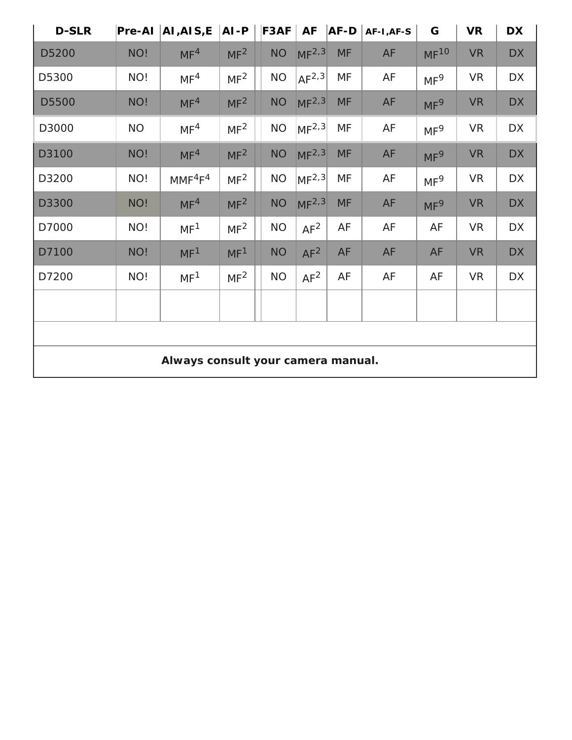| <b>D-SLR</b>                       | Pre-AI    | AI, AIS, E                      | $AI-P$          |  | F3AF      | <b>AF</b>               | <b>AF-D</b> | AF-I, AF-S | G                | <b>VR</b> | <b>DX</b> |
|------------------------------------|-----------|---------------------------------|-----------------|--|-----------|-------------------------|-------------|------------|------------------|-----------|-----------|
| D5200                              | NO!       | MF <sup>4</sup>                 | MF <sup>2</sup> |  | <b>NO</b> | MF <sup>2,3</sup>       | <b>MF</b>   | AF         | MF <sup>10</sup> | <b>VR</b> | <b>DX</b> |
| D5300                              | NO!       | MF <sup>4</sup>                 | MF <sup>2</sup> |  | <b>NO</b> | AF <sup>2,3</sup>       | MF          | AF         | MF <sup>9</sup>  | <b>VR</b> | DX        |
| D5500                              | NO!       | MF <sup>4</sup>                 | MF <sup>2</sup> |  | $NO$      | MF <sup>2,3</sup>       | <b>MF</b>   | AF         | MF <sup>9</sup>  | <b>VR</b> | <b>DX</b> |
| D3000                              | <b>NO</b> | MF <sup>4</sup>                 | MF <sup>2</sup> |  | <b>NO</b> | MF <sup>2,3</sup>       | MF          | AF         | MF <sup>9</sup>  | <b>VR</b> | <b>DX</b> |
| D3100                              | NO!       | MF <sup>4</sup>                 | MF <sup>2</sup> |  | <b>NO</b> | MF <sup>2,3</sup>       | <b>MF</b>   | AF         | MF <sup>9</sup>  | <b>VR</b> | <b>DX</b> |
| D3200                              | NO!       | MMF <sup>4</sup> F <sup>4</sup> | MF <sup>2</sup> |  | <b>NO</b> | $\vert M F^{2,3} \vert$ | MF          | AF         | MF <sup>9</sup>  | <b>VR</b> | <b>DX</b> |
| D3300                              | NO!       | MF <sup>4</sup>                 | MF <sup>2</sup> |  | <b>NO</b> | MF <sup>2,3</sup>       | <b>MF</b>   | AF         | MF <sup>9</sup>  | <b>VR</b> | <b>DX</b> |
| D7000                              | NO!       | MF <sup>1</sup>                 | MF <sup>2</sup> |  | <b>NO</b> | $AF^2$                  | AF          | AF         | AF               | <b>VR</b> | <b>DX</b> |
| D7100                              | NO!       | MF <sup>1</sup>                 | MF <sup>1</sup> |  | <b>NO</b> | AF <sup>2</sup>         | AF          | AF         | AF               | <b>VR</b> | <b>DX</b> |
| D7200                              | NO!       | MF <sup>1</sup>                 | MF <sup>2</sup> |  | <b>NO</b> | AF <sup>2</sup>         | AF          | AF         | AF               | <b>VR</b> | <b>DX</b> |
|                                    |           |                                 |                 |  |           |                         |             |            |                  |           |           |
|                                    |           |                                 |                 |  |           |                         |             |            |                  |           |           |
| Always consult your camera manual. |           |                                 |                 |  |           |                         |             |            |                  |           |           |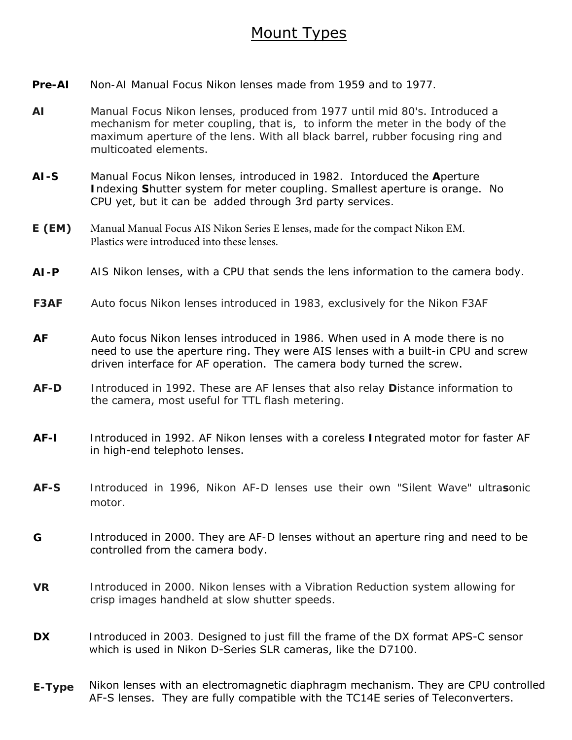## Mount Types

- **Pre-AI** Non-AI Manual Focus Nikon lenses made from 1959 and to 1977.
- **AI** Manual Focus Nikon lenses, produced from 1977 until mid 80's. Introduced a mechanism for meter coupling, that is, to inform the meter in the body of the maximum aperture of the lens. With all black barrel, rubber focusing ring and multicoated elements.
- **AI-S** Manual Focus Nikon lenses, introduced in 1982. Intorduced the **A**perture **I**ndexing **S**hutter system for meter coupling. Smallest aperture is orange. No CPU yet, but it can be added through 3rd party services.
- **E (EM)** Manual Manual Focus AIS Nikon Series E lenses, made for the compact Nikon EM. Plastics were introduced into these lenses.
- **AI-P** AIS Nikon lenses, with a CPU that sends the lens information to the camera body.
- **F3AF** Auto focus Nikon lenses introduced in 1983, exclusively for the Nikon F3AF
- **AF** Auto focus Nikon lenses introduced in 1986. When used in A mode there is no need to use the aperture ring. They were AIS lenses with a built-in CPU and screw driven interface for AF operation. The camera body turned the screw.
- **AF-D** Introduced in 1992. These are AF lenses that also relay **D**istance information to the camera, most useful for TTL flash metering.
- **AF-I** Introduced in 1992. AF Nikon lenses with a coreless **I**ntegrated motor for faster AF in high-end telephoto lenses.
- **AF-S** Introduced in 1996, Nikon AF-D lenses use their own "Silent Wave" ultra**s**onic motor.
- **G** Introduced in 2000. They are AF-D lenses without an aperture ring and need to be controlled from the camera body.
- **VR** Introduced in 2000. Nikon lenses with a Vibration Reduction system allowing for crisp images handheld at slow shutter speeds.
- **DX** Introduced in 2003. Designed to just fill the frame of the DX format APS-C sensor which is used in Nikon D-Series SLR cameras, like the D7100.
- **E-Type** Nikon lenses with an electromagnetic diaphragm mechanism. They are CPU controlled AF-S lenses. They are fully compatible with the TC14E series of Teleconverters.